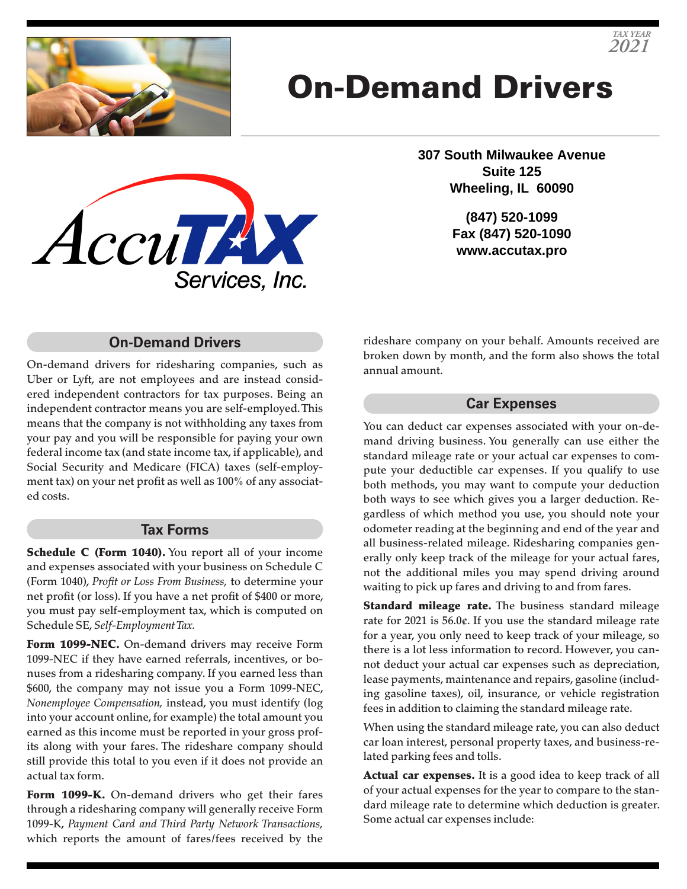

# On-Demand Drivers



**307 South Milwaukee Avenue Suite 125 Wheeling, IL 60090**

> **(847) 520-1099 Fax (847) 520-1090 www.accutax.pro**

### **On-Demand Drivers**

On-demand drivers for ridesharing companies, such as Uber or Lyft, are not employees and are instead considered independent contractors for tax purposes. Being an independent contractor means you are self-employed. This means that the company is not withholding any taxes from your pay and you will be responsible for paying your own federal income tax (and state income tax, if applicable), and Social Security and Medicare (FICA) taxes (self-employment tax) on your net profit as well as 100% of any associated costs.

#### **Tax Forms**

Schedule C (Form 1040). You report all of your income and expenses associated with your business on Schedule C (Form 1040), *Profit or Loss From Business,* to determine your net profit (or loss). If you have a net profit of \$400 or more, you must pay self-employment tax, which is computed on Schedule SE, *Self-Employment Tax.*

Form 1099-NEC. On-demand drivers may receive Form 1099-NEC if they have earned referrals, incentives, or bonuses from a ridesharing company. If you earned less than \$600, the company may not issue you a Form 1099-NEC, *Nonemployee Compensation,* instead, you must identify (log into your account online, for example) the total amount you earned as this income must be reported in your gross profits along with your fares. The rideshare company should still provide this total to you even if it does not provide an actual tax form.

Form 1099-K. On-demand drivers who get their fares through a ridesharing company will generally receive Form 1099-K, *Payment Card and Third Party Network Transactions,* which reports the amount of fares/fees received by the

rideshare company on your behalf. Amounts received are broken down by month, and the form also shows the total annual amount.

#### **Car Expenses**

You can deduct car expenses associated with your on-demand driving business. You generally can use either the standard mileage rate or your actual car expenses to compute your deductible car expenses. If you qualify to use both methods, you may want to compute your deduction both ways to see which gives you a larger deduction. Regardless of which method you use, you should note your odometer reading at the beginning and end of the year and all business-related mileage. Ridesharing companies generally only keep track of the mileage for your actual fares, not the additional miles you may spend driving around waiting to pick up fares and driving to and from fares.

Standard mileage rate. The business standard mileage rate for 2021 is 56.0¢. If you use the standard mileage rate for a year, you only need to keep track of your mileage, so there is a lot less information to record. However, you cannot deduct your actual car expenses such as depreciation, lease payments, maintenance and repairs, gasoline (including gasoline taxes), oil, insurance, or vehicle registration fees in addition to claiming the standard mileage rate.

When using the standard mileage rate, you can also deduct car loan interest, personal property taxes, and business-related parking fees and tolls.

Actual car expenses. It is a good idea to keep track of all of your actual expenses for the year to compare to the standard mileage rate to determine which deduction is greater. Some actual car expenses include: